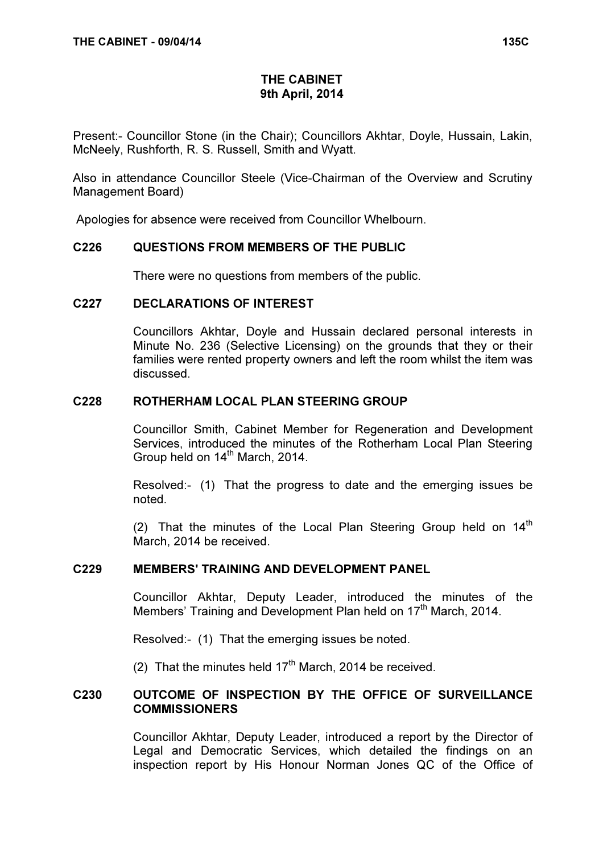# THE CABINET 9th April, 2014

Present:- Councillor Stone (in the Chair); Councillors Akhtar, Doyle, Hussain, Lakin, McNeely, Rushforth, R. S. Russell, Smith and Wyatt.

Also in attendance Councillor Steele (Vice-Chairman of the Overview and Scrutiny Management Board)

Apologies for absence were received from Councillor Whelbourn.

#### C226 QUESTIONS FROM MEMBERS OF THE PUBLIC

There were no questions from members of the public.

#### C227 DECLARATIONS OF INTEREST

 Councillors Akhtar, Doyle and Hussain declared personal interests in Minute No. 236 (Selective Licensing) on the grounds that they or their families were rented property owners and left the room whilst the item was discussed.

#### C228 ROTHERHAM LOCAL PLAN STEERING GROUP

 Councillor Smith, Cabinet Member for Regeneration and Development Services, introduced the minutes of the Rotherham Local Plan Steering Group held on 14<sup>th</sup> March, 2014.

Resolved:- (1) That the progress to date and the emerging issues be noted.

(2) That the minutes of the Local Plan Steering Group held on  $14<sup>th</sup>$ March, 2014 be received.

#### C229 MEMBERS' TRAINING AND DEVELOPMENT PANEL

 Councillor Akhtar, Deputy Leader, introduced the minutes of the Members' Training and Development Plan held on 17<sup>th</sup> March, 2014.

Resolved:- (1) That the emerging issues be noted.

(2) That the minutes held  $17<sup>th</sup>$  March, 2014 be received.

#### C230 OUTCOME OF INSPECTION BY THE OFFICE OF SURVEILLANCE **COMMISSIONERS**

 Councillor Akhtar, Deputy Leader, introduced a report by the Director of Legal and Democratic Services, which detailed the findings on an inspection report by His Honour Norman Jones QC of the Office of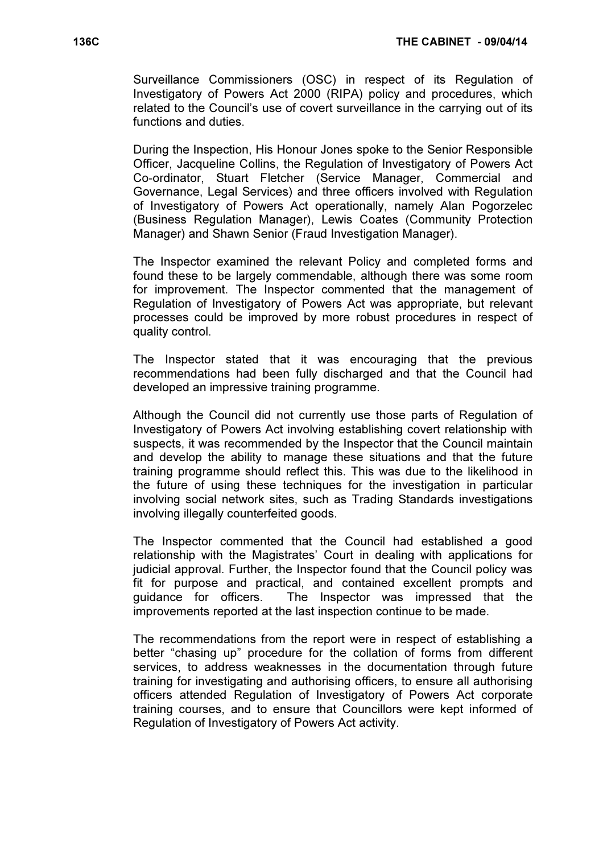Surveillance Commissioners (OSC) in respect of its Regulation of Investigatory of Powers Act 2000 (RIPA) policy and procedures, which related to the Council's use of covert surveillance in the carrying out of its functions and duties.

During the Inspection, His Honour Jones spoke to the Senior Responsible Officer, Jacqueline Collins, the Regulation of Investigatory of Powers Act Co-ordinator, Stuart Fletcher (Service Manager, Commercial and Governance, Legal Services) and three officers involved with Regulation of Investigatory of Powers Act operationally, namely Alan Pogorzelec (Business Regulation Manager), Lewis Coates (Community Protection Manager) and Shawn Senior (Fraud Investigation Manager).

The Inspector examined the relevant Policy and completed forms and found these to be largely commendable, although there was some room for improvement. The Inspector commented that the management of Regulation of Investigatory of Powers Act was appropriate, but relevant processes could be improved by more robust procedures in respect of quality control.

The Inspector stated that it was encouraging that the previous recommendations had been fully discharged and that the Council had developed an impressive training programme.

Although the Council did not currently use those parts of Regulation of Investigatory of Powers Act involving establishing covert relationship with suspects, it was recommended by the Inspector that the Council maintain and develop the ability to manage these situations and that the future training programme should reflect this. This was due to the likelihood in the future of using these techniques for the investigation in particular involving social network sites, such as Trading Standards investigations involving illegally counterfeited goods.

The Inspector commented that the Council had established a good relationship with the Magistrates' Court in dealing with applications for judicial approval. Further, the Inspector found that the Council policy was fit for purpose and practical, and contained excellent prompts and guidance for officers. The Inspector was impressed that the improvements reported at the last inspection continue to be made.

The recommendations from the report were in respect of establishing a better "chasing up" procedure for the collation of forms from different services, to address weaknesses in the documentation through future training for investigating and authorising officers, to ensure all authorising officers attended Regulation of Investigatory of Powers Act corporate training courses, and to ensure that Councillors were kept informed of Regulation of Investigatory of Powers Act activity.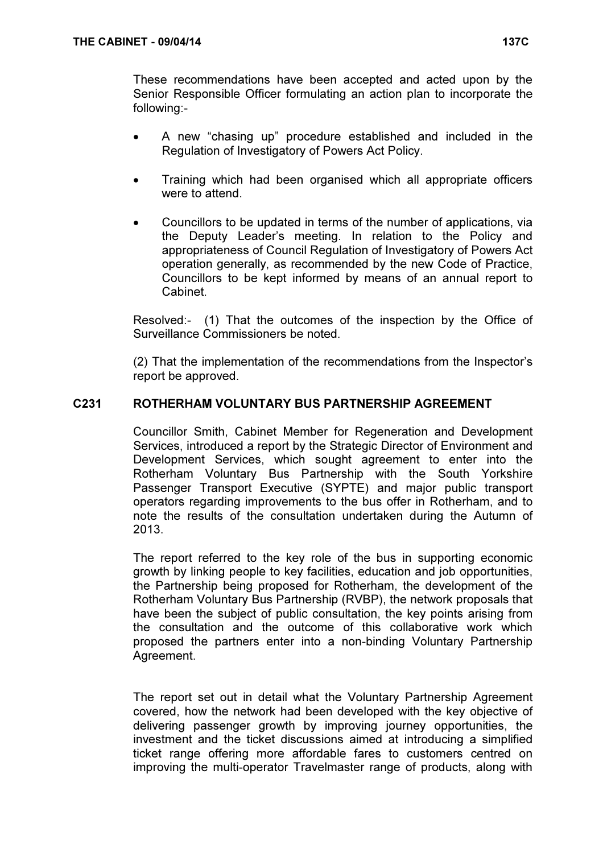These recommendations have been accepted and acted upon by the Senior Responsible Officer formulating an action plan to incorporate the following:-

- A new "chasing up" procedure established and included in the Regulation of Investigatory of Powers Act Policy.
- Training which had been organised which all appropriate officers were to attend.
- Councillors to be updated in terms of the number of applications, via the Deputy Leader's meeting. In relation to the Policy and appropriateness of Council Regulation of Investigatory of Powers Act operation generally, as recommended by the new Code of Practice, Councillors to be kept informed by means of an annual report to Cabinet.

Resolved:- (1) That the outcomes of the inspection by the Office of Surveillance Commissioners be noted.

(2) That the implementation of the recommendations from the Inspector's report be approved.

### C231 ROTHERHAM VOLUNTARY BUS PARTNERSHIP AGREEMENT

 Councillor Smith, Cabinet Member for Regeneration and Development Services, introduced a report by the Strategic Director of Environment and Development Services, which sought agreement to enter into the Rotherham Voluntary Bus Partnership with the South Yorkshire Passenger Transport Executive (SYPTE) and major public transport operators regarding improvements to the bus offer in Rotherham, and to note the results of the consultation undertaken during the Autumn of 2013.

The report referred to the key role of the bus in supporting economic growth by linking people to key facilities, education and job opportunities, the Partnership being proposed for Rotherham, the development of the Rotherham Voluntary Bus Partnership (RVBP), the network proposals that have been the subject of public consultation, the key points arising from the consultation and the outcome of this collaborative work which proposed the partners enter into a non-binding Voluntary Partnership Agreement.

The report set out in detail what the Voluntary Partnership Agreement covered, how the network had been developed with the key objective of delivering passenger growth by improving journey opportunities, the investment and the ticket discussions aimed at introducing a simplified ticket range offering more affordable fares to customers centred on improving the multi-operator Travelmaster range of products, along with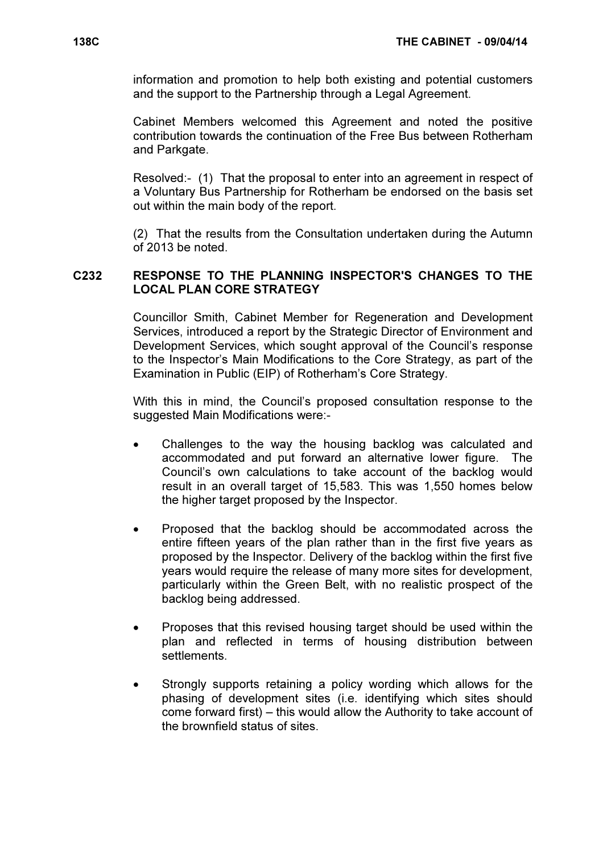information and promotion to help both existing and potential customers and the support to the Partnership through a Legal Agreement.

Cabinet Members welcomed this Agreement and noted the positive contribution towards the continuation of the Free Bus between Rotherham and Parkgate.

Resolved:- (1) That the proposal to enter into an agreement in respect of a Voluntary Bus Partnership for Rotherham be endorsed on the basis set out within the main body of the report.

(2) That the results from the Consultation undertaken during the Autumn of 2013 be noted.

## C232 RESPONSE TO THE PLANNING INSPECTOR'S CHANGES TO THE LOCAL PLAN CORE STRATEGY

 Councillor Smith, Cabinet Member for Regeneration and Development Services, introduced a report by the Strategic Director of Environment and Development Services, which sought approval of the Council's response to the Inspector's Main Modifications to the Core Strategy, as part of the Examination in Public (EIP) of Rotherham's Core Strategy.

With this in mind, the Council's proposed consultation response to the suggested Main Modifications were:-

- Challenges to the way the housing backlog was calculated and accommodated and put forward an alternative lower figure. The Council's own calculations to take account of the backlog would result in an overall target of 15,583. This was 1,550 homes below the higher target proposed by the Inspector.
- Proposed that the backlog should be accommodated across the entire fifteen years of the plan rather than in the first five years as proposed by the Inspector. Delivery of the backlog within the first five years would require the release of many more sites for development, particularly within the Green Belt, with no realistic prospect of the backlog being addressed.
- Proposes that this revised housing target should be used within the plan and reflected in terms of housing distribution between settlements.
- Strongly supports retaining a policy wording which allows for the phasing of development sites (i.e. identifying which sites should come forward first) – this would allow the Authority to take account of the brownfield status of sites.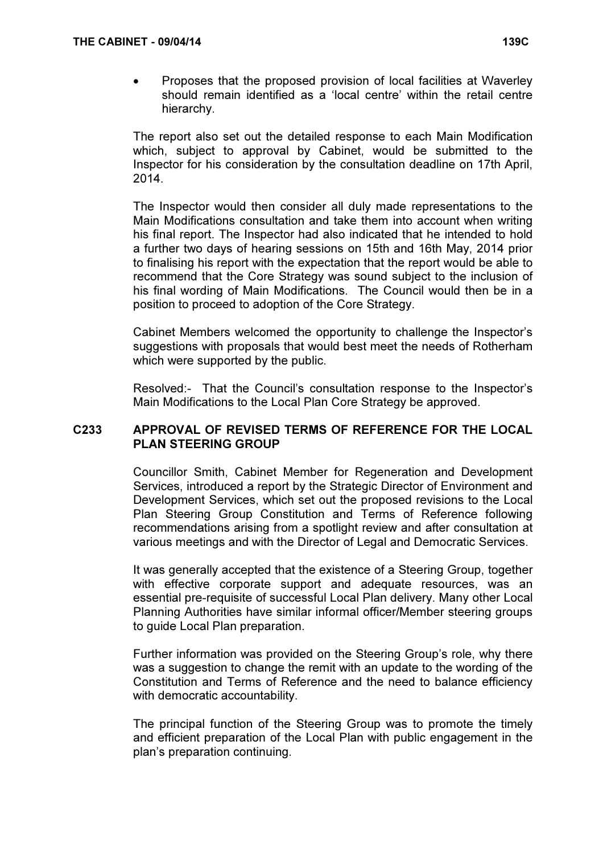• Proposes that the proposed provision of local facilities at Waverley should remain identified as a 'local centre' within the retail centre hierarchy.

The report also set out the detailed response to each Main Modification which, subject to approval by Cabinet, would be submitted to the Inspector for his consideration by the consultation deadline on 17th April, 2014.

The Inspector would then consider all duly made representations to the Main Modifications consultation and take them into account when writing his final report. The Inspector had also indicated that he intended to hold a further two days of hearing sessions on 15th and 16th May, 2014 prior to finalising his report with the expectation that the report would be able to recommend that the Core Strategy was sound subject to the inclusion of his final wording of Main Modifications. The Council would then be in a position to proceed to adoption of the Core Strategy.

Cabinet Members welcomed the opportunity to challenge the Inspector's suggestions with proposals that would best meet the needs of Rotherham which were supported by the public.

Resolved:- That the Council's consultation response to the Inspector's Main Modifications to the Local Plan Core Strategy be approved.

### C233 APPROVAL OF REVISED TERMS OF REFERENCE FOR THE LOCAL PLAN STEERING GROUP

 Councillor Smith, Cabinet Member for Regeneration and Development Services, introduced a report by the Strategic Director of Environment and Development Services, which set out the proposed revisions to the Local Plan Steering Group Constitution and Terms of Reference following recommendations arising from a spotlight review and after consultation at various meetings and with the Director of Legal and Democratic Services.

It was generally accepted that the existence of a Steering Group, together with effective corporate support and adequate resources, was an essential pre-requisite of successful Local Plan delivery. Many other Local Planning Authorities have similar informal officer/Member steering groups to guide Local Plan preparation.

Further information was provided on the Steering Group's role, why there was a suggestion to change the remit with an update to the wording of the Constitution and Terms of Reference and the need to balance efficiency with democratic accountability.

The principal function of the Steering Group was to promote the timely and efficient preparation of the Local Plan with public engagement in the plan's preparation continuing.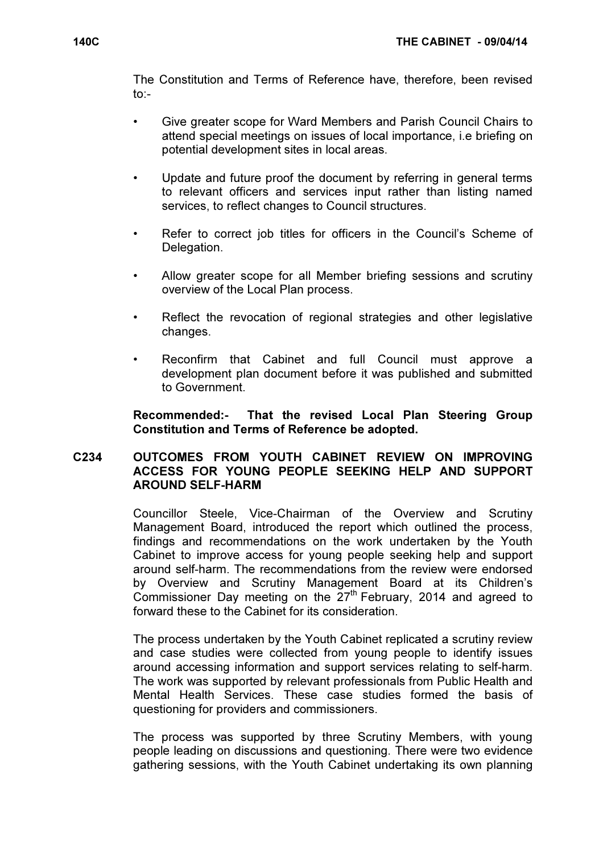The Constitution and Terms of Reference have, therefore, been revised to:-

- Give greater scope for Ward Members and Parish Council Chairs to attend special meetings on issues of local importance, i.e briefing on potential development sites in local areas.
- Update and future proof the document by referring in general terms to relevant officers and services input rather than listing named services, to reflect changes to Council structures.
- Refer to correct job titles for officers in the Council's Scheme of Delegation.
- Allow greater scope for all Member briefing sessions and scrutiny overview of the Local Plan process.
- Reflect the revocation of regional strategies and other legislative changes.
- Reconfirm that Cabinet and full Council must approve a development plan document before it was published and submitted to Government.

Recommended:- That the revised Local Plan Steering Group Constitution and Terms of Reference be adopted.

### C234 OUTCOMES FROM YOUTH CABINET REVIEW ON IMPROVING ACCESS FOR YOUNG PEOPLE SEEKING HELP AND SUPPORT AROUND SELF-HARM

 Councillor Steele, Vice-Chairman of the Overview and Scrutiny Management Board, introduced the report which outlined the process, findings and recommendations on the work undertaken by the Youth Cabinet to improve access for young people seeking help and support around self-harm. The recommendations from the review were endorsed by Overview and Scrutiny Management Board at its Children's Commissioner Day meeting on the  $27<sup>th</sup>$  February, 2014 and agreed to forward these to the Cabinet for its consideration.

The process undertaken by the Youth Cabinet replicated a scrutiny review and case studies were collected from young people to identify issues around accessing information and support services relating to self-harm. The work was supported by relevant professionals from Public Health and Mental Health Services. These case studies formed the basis of questioning for providers and commissioners.

The process was supported by three Scrutiny Members, with young people leading on discussions and questioning. There were two evidence gathering sessions, with the Youth Cabinet undertaking its own planning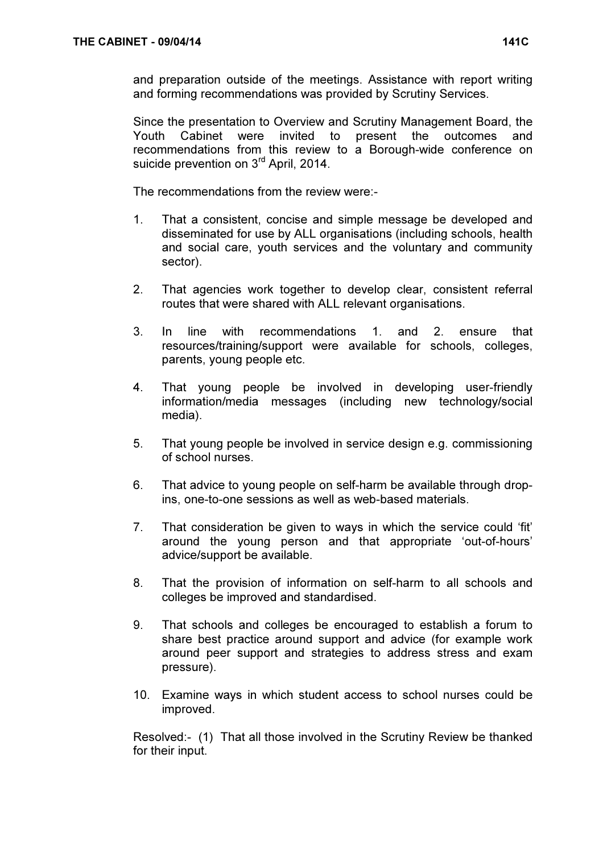Since the presentation to Overview and Scrutiny Management Board, the Youth Cabinet were invited to present the outcomes and recommendations from this review to a Borough-wide conference on suicide prevention on 3<sup>rd</sup> April, 2014.

and forming recommendations was provided by Scrutiny Services.

The recommendations from the review were:-

- 1. That a consistent, concise and simple message be developed and disseminated for use by ALL organisations (including schools, health and social care, youth services and the voluntary and community sector).
- 2. That agencies work together to develop clear, consistent referral routes that were shared with ALL relevant organisations.
- 3. In line with recommendations 1. and 2. ensure that resources/training/support were available for schools, colleges, parents, young people etc.
- 4. That young people be involved in developing user-friendly information/media messages (including new technology/social media).
- 5. That young people be involved in service design e.g. commissioning of school nurses.
- 6. That advice to young people on self-harm be available through dropins, one-to-one sessions as well as web-based materials.
- 7. That consideration be given to ways in which the service could 'fit' around the young person and that appropriate 'out-of-hours' advice/support be available.
- 8. That the provision of information on self-harm to all schools and colleges be improved and standardised.
- 9. That schools and colleges be encouraged to establish a forum to share best practice around support and advice (for example work around peer support and strategies to address stress and exam pressure).
- 10. Examine ways in which student access to school nurses could be improved.

Resolved:- (1) That all those involved in the Scrutiny Review be thanked for their input.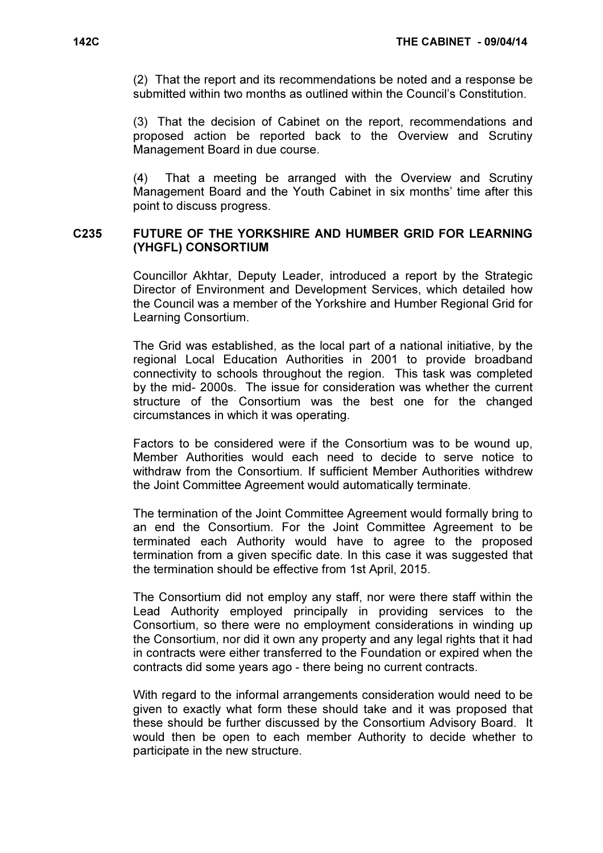(2) That the report and its recommendations be noted and a response be submitted within two months as outlined within the Council's Constitution.

(3) That the decision of Cabinet on the report, recommendations and proposed action be reported back to the Overview and Scrutiny Management Board in due course.

(4) That a meeting be arranged with the Overview and Scrutiny Management Board and the Youth Cabinet in six months' time after this point to discuss progress.

### C235 FUTURE OF THE YORKSHIRE AND HUMBER GRID FOR LEARNING (YHGFL) CONSORTIUM

 Councillor Akhtar, Deputy Leader, introduced a report by the Strategic Director of Environment and Development Services, which detailed how the Council was a member of the Yorkshire and Humber Regional Grid for Learning Consortium.

The Grid was established, as the local part of a national initiative, by the regional Local Education Authorities in 2001 to provide broadband connectivity to schools throughout the region. This task was completed by the mid- 2000s. The issue for consideration was whether the current structure of the Consortium was the best one for the changed circumstances in which it was operating.

Factors to be considered were if the Consortium was to be wound up, Member Authorities would each need to decide to serve notice to withdraw from the Consortium. If sufficient Member Authorities withdrew the Joint Committee Agreement would automatically terminate.

The termination of the Joint Committee Agreement would formally bring to an end the Consortium. For the Joint Committee Agreement to be terminated each Authority would have to agree to the proposed termination from a given specific date. In this case it was suggested that the termination should be effective from 1st April, 2015.

The Consortium did not employ any staff, nor were there staff within the Lead Authority employed principally in providing services to the Consortium, so there were no employment considerations in winding up the Consortium, nor did it own any property and any legal rights that it had in contracts were either transferred to the Foundation or expired when the contracts did some years ago - there being no current contracts.

With regard to the informal arrangements consideration would need to be given to exactly what form these should take and it was proposed that these should be further discussed by the Consortium Advisory Board. It would then be open to each member Authority to decide whether to participate in the new structure.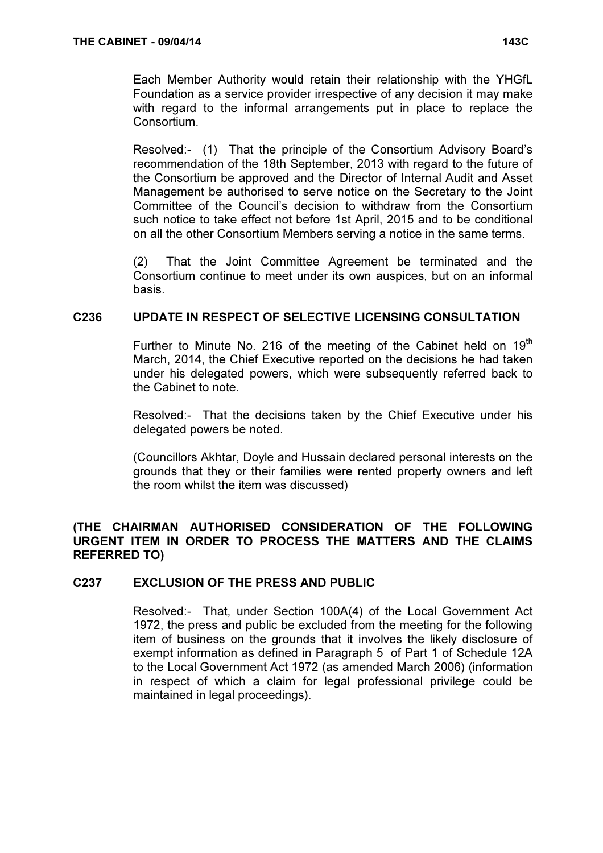Each Member Authority would retain their relationship with the YHGfL Foundation as a service provider irrespective of any decision it may make with regard to the informal arrangements put in place to replace the Consortium.

Resolved:- (1) That the principle of the Consortium Advisory Board's recommendation of the 18th September, 2013 with regard to the future of the Consortium be approved and the Director of Internal Audit and Asset Management be authorised to serve notice on the Secretary to the Joint Committee of the Council's decision to withdraw from the Consortium such notice to take effect not before 1st April, 2015 and to be conditional on all the other Consortium Members serving a notice in the same terms.

(2) That the Joint Committee Agreement be terminated and the Consortium continue to meet under its own auspices, but on an informal basis.

# C236 UPDATE IN RESPECT OF SELECTIVE LICENSING CONSULTATION

Further to Minute No. 216 of the meeting of the Cabinet held on  $19<sup>th</sup>$ March, 2014, the Chief Executive reported on the decisions he had taken under his delegated powers, which were subsequently referred back to the Cabinet to note.

Resolved:- That the decisions taken by the Chief Executive under his delegated powers be noted.

(Councillors Akhtar, Doyle and Hussain declared personal interests on the grounds that they or their families were rented property owners and left the room whilst the item was discussed)

# (THE CHAIRMAN AUTHORISED CONSIDERATION OF THE FOLLOWING URGENT ITEM IN ORDER TO PROCESS THE MATTERS AND THE CLAIMS REFERRED TO)

### C237 EXCLUSION OF THE PRESS AND PUBLIC

 Resolved:- That, under Section 100A(4) of the Local Government Act 1972, the press and public be excluded from the meeting for the following item of business on the grounds that it involves the likely disclosure of exempt information as defined in Paragraph 5 of Part 1 of Schedule 12A to the Local Government Act 1972 (as amended March 2006) (information in respect of which a claim for legal professional privilege could be maintained in legal proceedings).